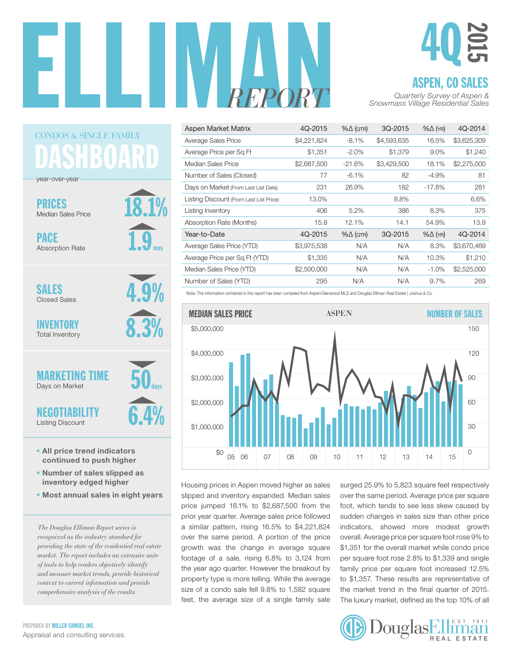

18.1%

1.9

mos

4.9%

8.3%

6.4%

50

days

# 4Q 2015

#### ASPEN, CO SALES

| Aspen Market Matrix                     | 4Q-2015     | $% \triangle (QTR)$ | 3Q-2015     | $% \triangle (YR)$ | 4Q-2014     |
|-----------------------------------------|-------------|---------------------|-------------|--------------------|-------------|
| Average Sales Price                     | \$4,221,824 | $-8.1%$             | \$4,593,635 | 16.5%              | \$3,625,309 |
| Average Price per Sq Ft                 | \$1,351     | $-2.0%$             | \$1,379     | 9.0%               | \$1,240     |
| Median Sales Price                      | \$2,687,500 | $-21.6%$            | \$3,429,500 | 18.1%              | \$2,275,000 |
| Number of Sales (Closed)                | 77          | $-6.1\%$            | 82          | $-4.9%$            | 81          |
| Days on Market (From Last List Date)    | 231         | 26.9%               | 182         | $-17.8%$           | 281         |
| Listing Discount (From Last List Price) | 13.0%       |                     | 8.8%        |                    | 6.6%        |
| Listing Inventory                       | 406         | 5.2%                | 386         | 8.3%               | 375         |
| Absorption Rate (Months)                | 15.8        | 12.1%               | 14.1        | 54.9%              | 13.9        |
| Year-to-Date                            | 4Q-2015     | $% \triangle (QTR)$ | 3Q-2015     | $% \triangle (YR)$ | 4Q-2014     |
| Average Sales Price (YTD)               | \$3,975,538 | N/A                 | N/A         | 8.3%               | \$3,670,469 |
| Average Price per Sq Ft (YTD)           | \$1,335     | N/A                 | N/A         | 10.3%              | \$1,210     |
| Median Sales Price (YTD)                | \$2,500,000 | N/A                 | N/A         | $-1.0\%$           | \$2,525,000 |
| Number of Sales (YTD)                   | 295         | N/A                 | N/A         | 9.7%               | 269         |





Housing prices in Aspen moved higher as sales slipped and inventory expanded. Median sales price jumped 18.1% to \$2,687,500 from the prior year quarter. Average sales price followed a similar pattern, rising 16.5% to \$4,221,824 over the same period. A portion of the price growth was the change in average square footage of a sale, rising 6.8% to 3,124 from the year ago quarter. However the breakout by property type is more telling. While the average size of a condo sale fell 9.8% to 1,582 square feet, the average size of a single family sale

surged 25.9% to 5,823 square feet respectively over the same period. Average price per square foot, which tends to see less skew caused by sudden changes in sales size than other price indicators, showed more modest growth of the same period. A portion of the price overall. Average price per square foot rose 9% to er the same period. A portion of the price overall. Average price per square foot rose 9% to \$1,351 for the overall market while condo price per square foot rose 2.8% to \$1,339 and single family price per square foot increased 12.5% 80 to \$1,357. These results are representative of the market trend in the final quarter of 2015. The luxury market, defined as the top 10% of all



year-over-year DASHBOARD

CONDOS & SINGLE FAMILY

PRICES

Median Sales Price

PACE Absorption Rate

SALES Closed Sales

INVENTORY Total Inventory

**MARKETING** Days on Market

NEGOTIABILITY

Listing Discount

- All price trend indicators continued to push higher
- Number of sales slipped as inventory edged higher
- Most annual sales in eight years

*The Douglas Elliman Report series is recognized as the industry standard for providing the state of the residential real estate market. The report includes an extensive suite of tools to help readers objectively identify and measure market trends, provide historical context to current information and provide comprehensive analysis of the results.*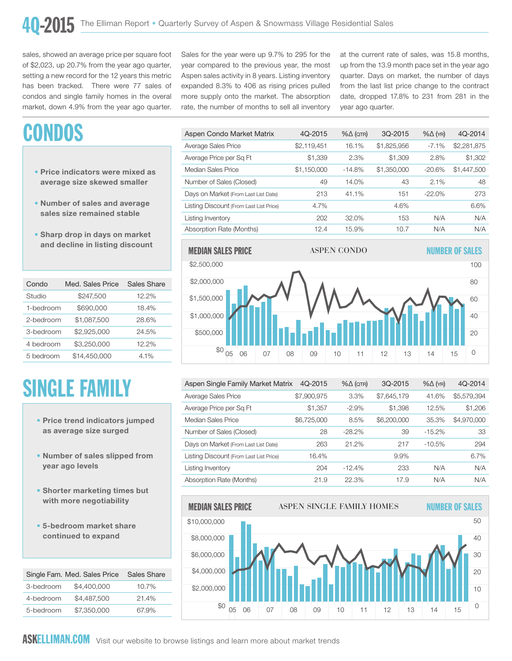sales, showed an average price per square foot of \$2,023, up 20.7% from the year ago quarter, setting a new record for the 12 years this metric has been tracked. There were 77 sales of condos and single family homes in the overal market, down 4.9% from the year ago quarter.

## CONDOS

- Price indicators were mixed as average size skewed smaller
- Number of sales and average sales size remained stable
- Sharp drop in days on market and decline in listing discount

| Condo     | Med. Sales Price | Sales Share |
|-----------|------------------|-------------|
| Studio    | \$247,500        | 12.2%       |
| 1-bedroom | \$690,000        | 18.4%       |
| 2-bedroom | \$1.087.500      | 28.6%       |
| 3-bedroom | \$2,925,000      | 24.5%       |
| 4 bedroom | \$3,250,000      | 12.2%       |
| 5 bedroom | \$14,450,000     | 4.1%        |

## SINGLE FAMILY

- Price trend indicators jumped as average size surged
- Number of sales slipped from year ago levels
- Shorter marketing times but with more negotiability
- 5-bedroom market share continued to expand

|           | Single Fam. Med. Sales Price | Sales Share |
|-----------|------------------------------|-------------|
| 3-bedroom | \$4,400,000                  | 10.7%       |
| 4-bedroom | \$4,487,500                  | 21.4%       |
| 5-bedroom | \$7,350,000                  | 67.9%       |

Sales for the year were up 9.7% to 295 for the year compared to the previous year, the most .<br>Aspen sales activity in 8 years. Listing inventory expanded 8.3% to 406 as rising prices pulled more supply onto the market. The absorption rate, the number of months to sell all inventory

at the current rate of sales, was 15.8 months, up from the 13.9 month pace set in the year ago quarter. Days on market, the number of days from the last list price change to the contract date, dropped 17.8% to 231 from 281 in the year ago quarter.

| Aspen Condo Market Matrix               | 4Q-2015     | $% \triangle (QTR)$ | 3Q-2015     | $% \triangle (YR)$ | 4Q-2014     |
|-----------------------------------------|-------------|---------------------|-------------|--------------------|-------------|
| Average Sales Price                     | \$2,119,451 | 16.1%               | \$1,825,956 | $-7.1%$            | \$2,281,875 |
| Average Price per Sq Ft                 | \$1,339     | 2.3%                | \$1,309     | 2.8%               | \$1,302     |
| Median Sales Price                      | \$1,150,000 | $-14.8%$            | \$1,350,000 | -20.6%             | \$1,447,500 |
| Number of Sales (Closed)                | 49          | 14.0%               | 43          | 2.1%               | 48          |
| Days on Market (From Last List Date)    | 213         | 41.1%               | 151         | $-22.0%$           | 273         |
| Listing Discount (From Last List Price) | 4.7%        |                     | 4.6%        |                    | 6.6%        |
| Listing Inventory                       | 202         | 32.0%               | 153         | N/A                | N/A         |
| Absorption Rate (Months)                | 12.4        | 15.9%               | 10.7        | N/A                | N/A         |



| \$5,579,394                                                     |
|-----------------------------------------------------------------|
| \$1,206                                                         |
| \$4,970,000                                                     |
| 33                                                              |
| 294                                                             |
| 6.7%                                                            |
| N/A                                                             |
| N/A                                                             |
| 41.6%<br>12.5%<br>35.3%<br>$-15.2\%$<br>$-10.5\%$<br>N/A<br>N/A |

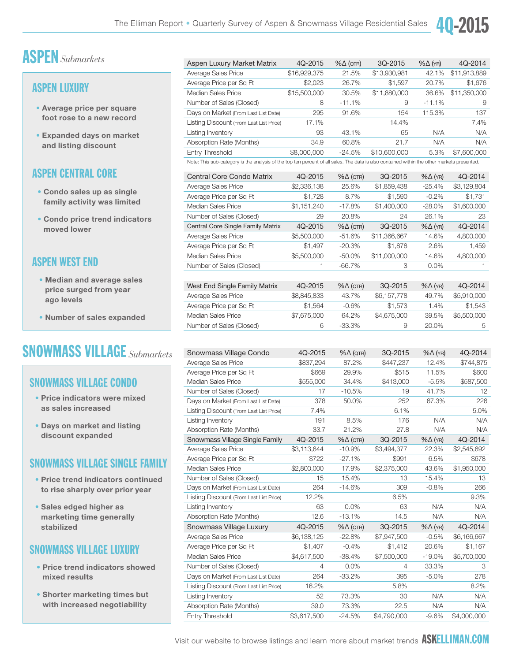

#### ASPEN LUXURY

- Average price per square foot rose to a new record
- Expanded days on market and listing discount

#### ASPEN CENTRAL CORE

- Condo sales up as single family activity was limited
- Condo price trend indicators moved lower

#### ASPEN WEST END

- Median and average sales price surged from year ago levels
- Number of sales expanded

### SNOWMASS VILLAGE *Submarkets*

#### SNOWMASS VILLAGE CONDO

- Price indicators were mixed as sales increased
- Days on market and listing discount expanded

#### SNOWMASS VILLAGE SINGLE FAMILY

- Price trend indicators continued to rise sharply over prior year
- Sales edged higher as marketing time generally stabilized

#### SNOWMASS VILLAGE LUXURY

- Price trend indicators showed mixed results
- Shorter marketing times but with increased negotiability

| Aspen Luxury Market Matrix                                                                                                                  | 4Q-2015      | $% \triangle (QTR)$ | 3Q-2015      | $% \triangle (YR)$ | 4Q-2014      |
|---------------------------------------------------------------------------------------------------------------------------------------------|--------------|---------------------|--------------|--------------------|--------------|
| Average Sales Price                                                                                                                         | \$16,929,375 | 21.5%               | \$13,930,981 | 42.1%              | \$11,913,889 |
| Average Price per Sq Ft                                                                                                                     | \$2,023      | 26.7%               | \$1,597      | 20.7%              | \$1,676      |
| <b>Median Sales Price</b>                                                                                                                   | \$15,500,000 | 30.5%               | \$11,880,000 | 36.6%              | \$11,350,000 |
| Number of Sales (Closed)                                                                                                                    | 8            | $-11.1%$            | 9            | $-11.1%$           | 9            |
| Days on Market (From Last List Date)                                                                                                        | 295          | 91.6%               | 154          | 115.3%             | 137          |
| Listing Discount (From Last List Price)                                                                                                     | 17.1%        |                     | 14.4%        |                    | 7.4%         |
| Listing Inventory                                                                                                                           | 93           | 43.1%               | 65           | N/A                | N/A          |
| Absorption Rate (Months)                                                                                                                    | 34.9         | 60.8%               | 21.7         | N/A                | N/A          |
| <b>Entry Threshold</b>                                                                                                                      | \$8,000,000  | $-24.5%$            | \$10,600,000 | 5.3%               | \$7,600,000  |
| Note: This sub-category is the analysis of the top ten percent of all sales. The data is also contained within the other markets presented. |              |                     |              |                    |              |
| Central Core Condo Matrix                                                                                                                   | 4Q-2015      | $% \triangle (QTR)$ | 3Q-2015      | $% \triangle (YR)$ | 4Q-2014      |
| Average Sales Price                                                                                                                         | \$2,336,138  | 25.6%               | \$1,859,438  | $-25.4%$           | \$3,129,804  |
| Average Price per Sq Ft                                                                                                                     | \$1,728      | 8.7%                | \$1,590      | $-0.2%$            | \$1,731      |
| Median Sales Price                                                                                                                          | \$1,151,240  | $-17.8%$            | \$1,400,000  | $-28.0\%$          | \$1,600,000  |
| Number of Sales (Closed)                                                                                                                    | 29           | 20.8%               | 24           | 26.1%              | 23           |
| Central Core Single Family Matrix                                                                                                           | 4Q-2015      | $% \triangle (QTR)$ | 3Q-2015      | $% \triangle (YR)$ | 4Q-2014      |
| Average Sales Price                                                                                                                         | \$5,500,000  | $-51.6%$            | \$11,366,667 | 14.6%              | 4,800,000    |
| Average Price per Sq Ft                                                                                                                     | \$1,497      | $-20.3%$            | \$1,878      | 2.6%               | 1,459        |
| <b>Median Sales Price</b>                                                                                                                   | \$5,500,000  | $-50.0\%$           | \$11,000,000 | 14.6%              | 4,800,000    |
| Number of Sales (Closed)                                                                                                                    | 1            | $-66.7%$            | 3            | 0.0%               | 1            |
|                                                                                                                                             |              |                     |              |                    |              |
| West End Single Family Matrix                                                                                                               | 4Q-2015      | $% \triangle (QTR)$ | 3Q-2015      | $% \triangle (YR)$ | 4Q-2014      |
| Average Sales Price                                                                                                                         | \$8,845,833  | 43.7%               | \$6,157,778  | 49.7%              | \$5,910,000  |
| Average Price per Sq Ft                                                                                                                     | \$1,564      | $-0.6%$             | \$1,573      | 1.4%               | \$1,543      |
| Median Sales Price                                                                                                                          | \$7,675,000  | 64.2%               | \$4,675,000  | 39.5%              | \$5,500,000  |
| Number of Sales (Closed)                                                                                                                    | 6            | $-33.3%$            | 9            | 20.0%              | 5            |

| Snowmass Village Condo                  | 4Q-2015     | $% \triangle (QTR)$ | 3Q-2015     | $% \triangle (YR)$ | 4Q-2014     |
|-----------------------------------------|-------------|---------------------|-------------|--------------------|-------------|
| Average Sales Price                     | \$837,294   | 87.2%               | \$447,237   | 12.4%              | \$744,875   |
| Average Price per Sq Ft                 | \$669       | 29.9%               | \$515       | 11.5%              | \$600       |
| <b>Median Sales Price</b>               | \$555,000   | 34.4%               | \$413,000   | $-5.5%$            | \$587,500   |
| Number of Sales (Closed)                | 17          | $-10.5%$            | 19          | 41.7%              | 12          |
| Days on Market (From Last List Date)    | 378         | 50.0%               | 252         | 67.3%              | 226         |
| Listing Discount (From Last List Price) | 7.4%        |                     | 6.1%        |                    | 5.0%        |
| Listing Inventory                       | 191         | 8.5%                | 176         | N/A                | N/A         |
| Absorption Rate (Months)                | 33.7        | 21.2%               | 27.8        | N/A                | N/A         |
| Snowmass Village Single Family          | 4Q-2015     | $% \triangle (QTR)$ | 3Q-2015     | $% \triangle (YR)$ | 4Q-2014     |
| Average Sales Price                     | \$3,113,644 | $-10.9%$            | \$3,494,377 | 22.3%              | \$2,545,692 |
| Average Price per Sq Ft                 | \$722       | $-27.1%$            | \$991       | 6.5%               | \$678       |
| Median Sales Price                      | \$2,800,000 | 17.9%               | \$2,375,000 | 43.6%              | \$1,950,000 |
| Number of Sales (Closed)                | 15          | 15.4%               | 13          | 15.4%              | 13          |
| Days on Market (From Last List Date)    | 264         | $-14.6%$            | 309         | $-0.8%$            | 266         |
| Listing Discount (From Last List Price) | 12.2%       |                     | 6.5%        |                    | 9.3%        |
| Listing Inventory                       | 63          | 0.0%                | 63          | N/A                | N/A         |
| Absorption Rate (Months)                | 12.6        | $-13.1%$            | 14.5        | N/A                | N/A         |
| Snowmass Village Luxury                 | 4Q-2015     | $% \triangle (QTR)$ | 3Q-2015     | $% \triangle (YR)$ | 4Q-2014     |
| Average Sales Price                     | \$6,138,125 | $-22.8%$            | \$7,947,500 | $-0.5%$            | \$6,166,667 |
| Average Price per Sq Ft                 | \$1,407     | $-0.4%$             | \$1,412     | 20.6%              | \$1,167     |
| Median Sales Price                      | \$4,617,500 | $-38.4%$            | \$7,500,000 | $-19.0%$           | \$5,700,000 |
| Number of Sales (Closed)                | 4           | 0.0%                | 4           | 33.3%              | 3           |
| Days on Market (From Last List Date)    | 264         | $-33.2%$            | 395         | $-5.0%$            | 278         |
| Listing Discount (From Last List Price) | 16.2%       |                     | 5.8%        |                    | 8.2%        |
| Listing Inventory                       | 52          | 73.3%               | 30          | N/A                | N/A         |
| Absorption Rate (Months)                | 39.0        | 73.3%               | 22.5        | N/A                | N/A         |
| Entry Threshold                         | \$3,617,500 | $-24.5%$            | \$4,790,000 | $-9.6%$            | \$4,000,000 |